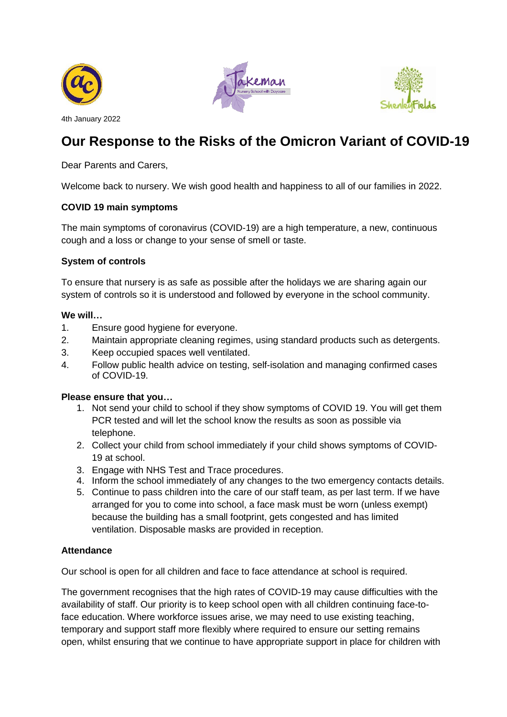





4th January 2022

# **Our Response to the Risks of the Omicron Variant of COVID-19**

Dear Parents and Carers,

Welcome back to nursery. We wish good health and happiness to all of our families in 2022.

# **COVID 19 main symptoms**

The main symptoms of coronavirus (COVID-19) are a high temperature, a new, continuous cough and a loss or change to your sense of smell or taste.

# **System of controls**

To ensure that nursery is as safe as possible after the holidays we are sharing again our system of controls so it is understood and followed by everyone in the school community.

# **We will…**

- 1. Ensure good hygiene for everyone.
- 2. Maintain appropriate cleaning regimes, using standard products such as detergents.
- 3. Keep occupied spaces well ventilated.
- 4. Follow public health advice on testing, self-isolation and managing confirmed cases of COVID-19.

# **Please ensure that you…**

- 1. Not send your child to school if they show symptoms of COVID 19. You will get them PCR tested and will let the school know the results as soon as possible via telephone.
- 2. Collect your child from school immediately if your child shows symptoms of COVID-19 at school.
- 3. Engage with NHS Test and Trace procedures.
- 4. Inform the school immediately of any changes to the two emergency contacts details.
- 5. Continue to pass children into the care of our staff team, as per last term. If we have arranged for you to come into school, a face mask must be worn (unless exempt) because the building has a small footprint, gets congested and has limited ventilation. Disposable masks are provided in reception.

# **Attendance**

Our school is open for all children and face to face attendance at school is required.

The government recognises that the high rates of COVID-19 may cause difficulties with the availability of staff. Our priority is to keep school open with all children continuing face-toface education. Where workforce issues arise, we may need to use existing teaching, temporary and support staff more flexibly where required to ensure our setting remains open, whilst ensuring that we continue to have appropriate support in place for children with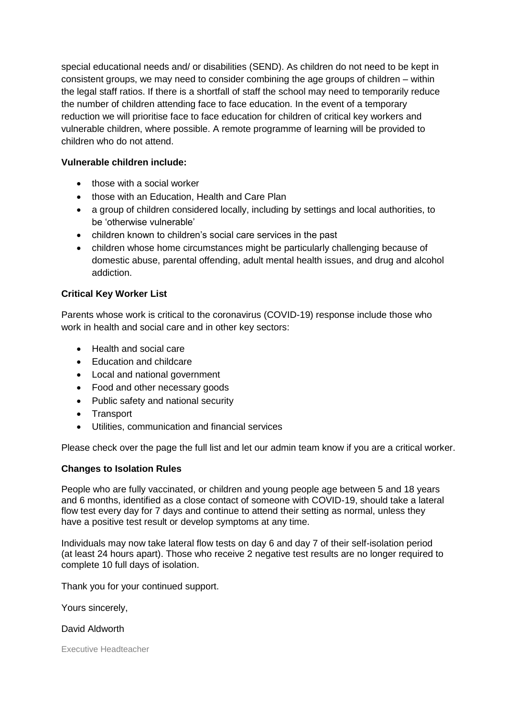special educational needs and/ or disabilities (SEND). As children do not need to be kept in consistent groups, we may need to consider combining the age groups of children – within the legal staff ratios. If there is a shortfall of staff the school may need to temporarily reduce the number of children attending face to face education. In the event of a temporary reduction we will prioritise face to face education for children of critical key workers and vulnerable children, where possible. A remote programme of learning will be provided to children who do not attend.

# **Vulnerable children include:**

- those with a social worker
- those with an Education, Health and Care Plan
- a group of children considered locally, including by settings and local authorities, to be 'otherwise vulnerable'
- children known to children's social care services in the past
- children whose home circumstances might be particularly challenging because of domestic abuse, parental offending, adult mental health issues, and drug and alcohol addiction.

# **Critical Key Worker List**

Parents whose work is critical to the coronavirus (COVID-19) response include those who work in health and social care and in other key sectors:

- Health and social care
- Education and childcare
- Local and national government
- Food and other necessary goods
- Public safety and national security
- Transport
- Utilities, communication and financial services

Please check over the page the full list and let our admin team know if you are a critical worker.

# **Changes to Isolation Rules**

People who are fully vaccinated, or children and young people age between 5 and 18 years and 6 months, identified as a close contact of someone with COVID-19, should take a lateral flow test every day for 7 days and continue to attend their setting as normal, unless they have a positive test result or develop symptoms at any time.

Individuals may now take lateral flow tests on day 6 and day 7 of their self-isolation period (at least 24 hours apart). Those who receive 2 negative test results are no longer required to complete 10 full days of isolation.

Thank you for your continued support.

Yours sincerely,

### David Aldworth

Executive Headteacher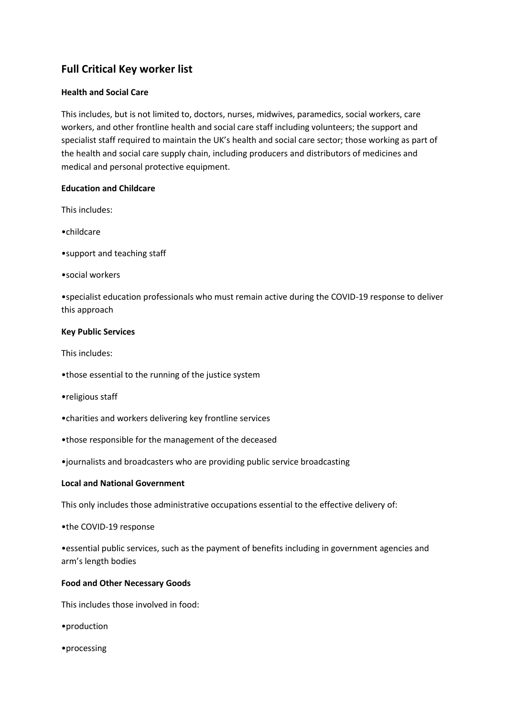# **Full Critical Key worker list**

### **Health and Social Care**

This includes, but is not limited to, doctors, nurses, midwives, paramedics, social workers, care workers, and other frontline health and social care staff including volunteers; the support and specialist staff required to maintain the UK's health and social care sector; those working as part of the health and social care supply chain, including producers and distributors of medicines and medical and personal protective equipment.

### **Education and Childcare**

This includes:

•childcare

•support and teaching staff

•social workers

•specialist education professionals who must remain active during the COVID-19 response to deliver this approach

### **Key Public Services**

This includes:

- •those essential to the running of the justice system
- •religious staff
- •charities and workers delivering key frontline services
- •those responsible for the management of the deceased

•journalists and broadcasters who are providing public service broadcasting

### **Local and National Government**

This only includes those administrative occupations essential to the effective delivery of:

•the COVID-19 response

•essential public services, such as the payment of benefits including in government agencies and arm's length bodies

### **Food and Other Necessary Goods**

This includes those involved in food:

•production

•processing